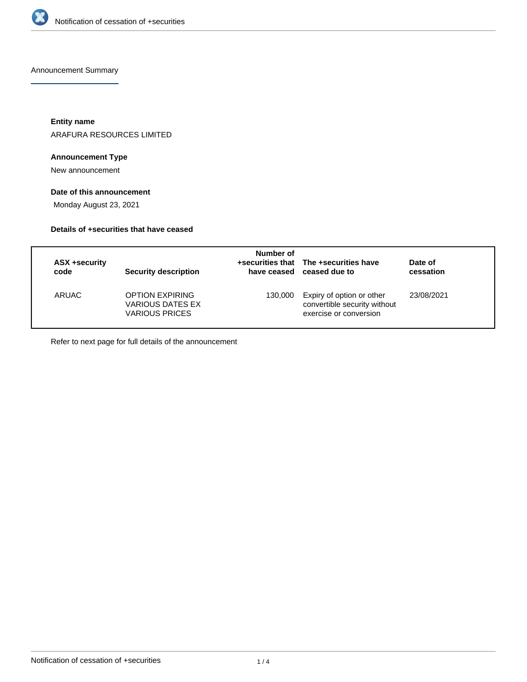

Announcement Summary

**Entity name**

ARAFURA RESOURCES LIMITED

## **Announcement Type**

New announcement

## **Date of this announcement**

Monday August 23, 2021

## **Details of +securities that have ceased**

| ASX +security<br>code | <b>Security description</b>                                                | Number of | +securities that The +securities have<br>have ceased ceased due to                  | Date of<br>cessation |
|-----------------------|----------------------------------------------------------------------------|-----------|-------------------------------------------------------------------------------------|----------------------|
| ARUAC                 | <b>OPTION EXPIRING</b><br><b>VARIOUS DATES EX</b><br><b>VARIOUS PRICES</b> | 130.000   | Expiry of option or other<br>convertible security without<br>exercise or conversion | 23/08/2021           |

Refer to next page for full details of the announcement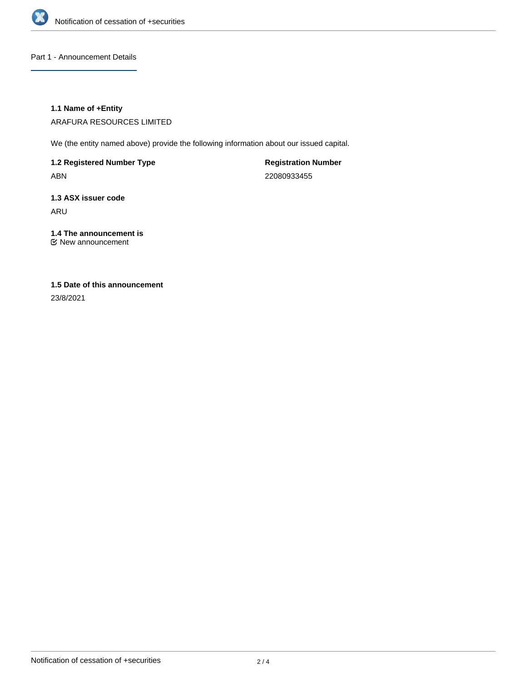

Part 1 - Announcement Details

#### **1.1 Name of +Entity**

ARAFURA RESOURCES LIMITED

We (the entity named above) provide the following information about our issued capital.

**1.2 Registered Number Type** ABN

**Registration Number** 22080933455

**1.3 ASX issuer code** ARU

**1.4 The announcement is** New announcement

# **1.5 Date of this announcement**

23/8/2021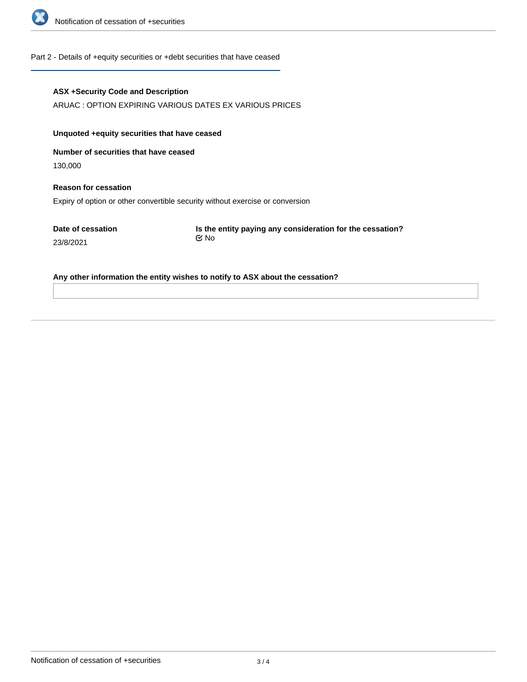

#### Part 2 - Details of +equity securities or +debt securities that have ceased

#### **ASX +Security Code and Description**

ARUAC : OPTION EXPIRING VARIOUS DATES EX VARIOUS PRICES

## **Unquoted +equity securities that have ceased**

**Number of securities that have ceased**

130,000

## **Reason for cessation** Expiry of option or other convertible security without exercise or conversion

**Date of cessation** 23/8/2021

**Is the entity paying any consideration for the cessation?** No

#### **Any other information the entity wishes to notify to ASX about the cessation?**